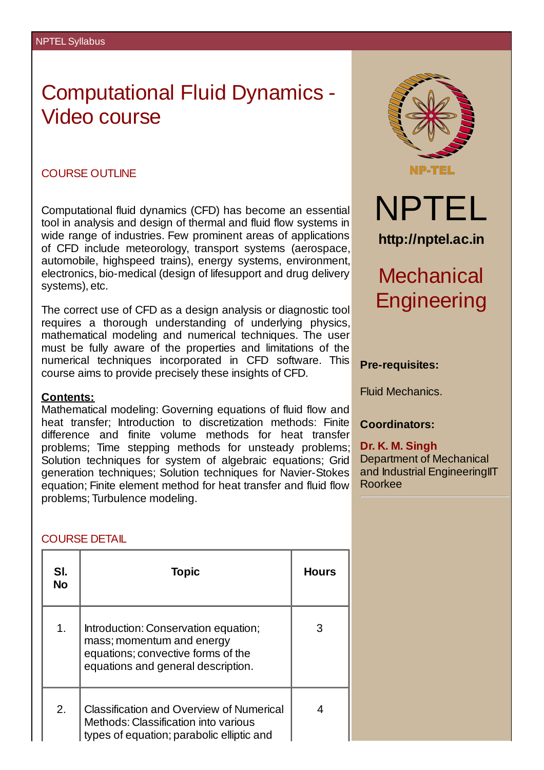# Computational Fluid Dynamics - Video course

#### COURSE OUTLINE

Computational fluid dynamics (CFD) has become an essential tool in analysis and design of thermal and fluid flow systems in wide range of industries. Few prominent areas of applications of CFD include meteorology, transport systems (aerospace, automobile, highspeed trains), energy systems, environment, electronics, bio-medical (design of lifesupport and drug delivery systems), etc.

The correct use of CFD as a design analysis or diagnostic tool requires a thorough understanding of underlying physics, mathematical modeling and numerical techniques. The user must be fully aware of the properties and limitations of the numerical techniques incorporated in CFD software. This course aims to provide precisely these insights of CFD.

#### **Contents:**

Mathematical modeling: Governing equations of fluid flow and heat transfer; Introduction to discretization methods: Finite difference and finite volume methods for heat transfer problems; Time stepping methods for unsteady problems; Solution techniques for system of algebraic equations; Grid generation techniques; Solution techniques for Navier-Stokes equation; Finite element method for heat transfer and fluid flow problems; Turbulence modeling.



### **Pre-requisites:**

Fluid Mechanics.

**Coordinators:**

**Dr. K. M. Singh** Department of Mechanical and Industrial Engineering IT Roorkee

## COURSE DETAIL

| SI.<br><b>No</b> | <b>Topic</b>                                                                                                                                  | <b>Hours</b> |
|------------------|-----------------------------------------------------------------------------------------------------------------------------------------------|--------------|
| $\mathbf{1}$ .   | Introduction: Conservation equation;<br>mass; momentum and energy<br>equations; convective forms of the<br>equations and general description. | 3            |
| 2.               | <b>Classification and Overview of Numerical</b><br>Methods: Classification into various<br>types of equation; parabolic elliptic and          | ⊿            |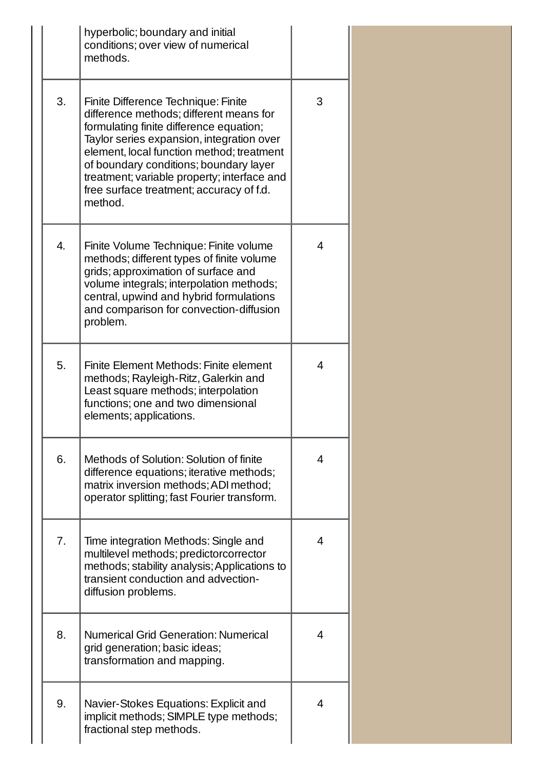|    | hyperbolic; boundary and initial<br>conditions; over view of numerical<br>methods.                                                                                                                                                                                                                                                                                  |                |
|----|---------------------------------------------------------------------------------------------------------------------------------------------------------------------------------------------------------------------------------------------------------------------------------------------------------------------------------------------------------------------|----------------|
| 3. | Finite Difference Technique: Finite<br>difference methods; different means for<br>formulating finite difference equation;<br>Taylor series expansion, integration over<br>element, local function method; treatment<br>of boundary conditions; boundary layer<br>treatment; variable property; interface and<br>free surface treatment; accuracy of f.d.<br>method. | 3              |
| 4. | Finite Volume Technique: Finite volume<br>methods; different types of finite volume<br>grids; approximation of surface and<br>volume integrals; interpolation methods;<br>central, upwind and hybrid formulations<br>and comparison for convection-diffusion<br>problem.                                                                                            | 4              |
| 5. | Finite Element Methods: Finite element<br>methods; Rayleigh-Ritz, Galerkin and<br>Least square methods; interpolation<br>functions; one and two dimensional<br>elements; applications.                                                                                                                                                                              | 4              |
| 6. | Methods of Solution: Solution of finite<br>difference equations; iterative methods;<br>matrix inversion methods; ADI method;<br>operator splitting; fast Fourier transform.                                                                                                                                                                                         | $\overline{4}$ |
| 7. | Time integration Methods: Single and<br>multilevel methods; predictorcorrector<br>methods; stability analysis; Applications to<br>transient conduction and advection-<br>diffusion problems.                                                                                                                                                                        | 4              |
| 8. | <b>Numerical Grid Generation: Numerical</b><br>grid generation; basic ideas;<br>transformation and mapping.                                                                                                                                                                                                                                                         | 4              |
| 9. | Navier-Stokes Equations: Explicit and<br>implicit methods; SIMPLE type methods;<br>fractional step methods.                                                                                                                                                                                                                                                         | 4              |